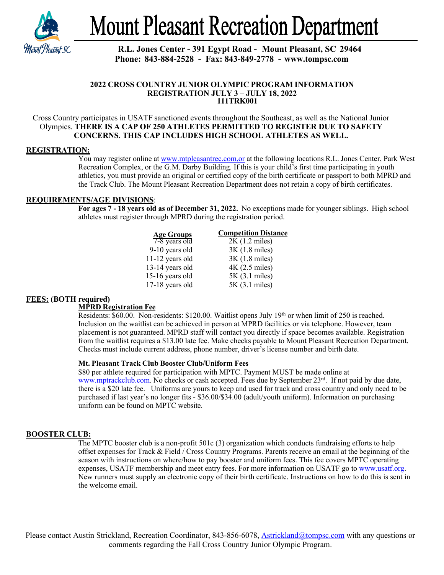

**Mount Pleasant Recreation Department** 

# **R.L. Jones Center - 391 Egypt Road - Mount Pleasant, SC 29464 Phone: 843-884-2528 - Fax: 843-849-2778 - [www.tompsc.com](http://www.tompsc.com/)**

#### **2022 CROSS COUNTRY JUNIOR OLYMPIC PROGRAM INFORMATION REGISTRATION JULY 3 – JULY 18, 2022 111TRK001**

Cross Country participates in USATF sanctioned events throughout the Southeast, as well as the National Junior Olympics. **THERE IS A CAP OF 250 ATHLETES PERMITTED TO REGISTER DUE TO SAFETY CONCERNS. THIS CAP INCLUDES HIGH SCHOOL ATHLETES AS WELL.**

# **REGISTRATION:**

You may register online at www.mtpleasantrec.com,or at the following locations R.L. Jones Center, Park West Recreation Complex, or the G.M. Darby Building. If this is your child's first time participating in youth athletics, you must provide an original or certified copy of the birth certificate or passport to both MPRD and the Track Club. The Mount Pleasant Recreation Department does not retain a copy of birth certificates.

## **REQUIREMENTS/AGE DIVISIONS**:

**For ages 7 - 18 years old as of December 31, 2022.** No exceptions made for younger siblings. High school athletes must register through MPRD during the registration period.

| <b>Age Groups</b> | <b>Competition Distance</b> |
|-------------------|-----------------------------|
| 7-8 years old     | $2K(1.2 \text{ miles})$     |
| 9-10 years old    | $3K(1.8 \text{ miles})$     |
| $11-12$ years old | $3K(1.8 \text{ miles})$     |
| $13-14$ years old | $4K$ (2.5 miles)            |
| 15-16 years old   | 5K (3.1 miles)              |
| $17-18$ years old | 5K (3.1 miles)              |

# **FEES: (BOTH required)**

## **MPRD Registration Fee**

Residents: \$60.00. Non-residents: \$120.00. Waitlist opens July 19<sup>th</sup> or when limit of 250 is reached. Inclusion on the waitlist can be achieved in person at MPRD facilities or via telephone. However, team placement is not guaranteed. MPRD staff will contact you directly if space becomes available. Registration from the waitlist requires a \$13.00 late fee. Make checks payable to Mount Pleasant Recreation Department. Checks must include current address, phone number, driver's license number and birth date.

# **Mt. Pleasant Track Club Booster Club/Uniform Fees**

\$80 per athlete required for participation with MPTC. Payment MUST be made online at [www.mptrackclub.com.](http://www.mptrackclub.com/) No checks or cash accepted. Fees due by September 23rd. If not paid by due date, there is a \$20 late fee. Uniforms are yours to keep and used for track and cross country and only need to be purchased if last year's no longer fits - \$36.00/\$34.00 (adult/youth uniform). Information on purchasing uniform can be found on MPTC website.

## **BOOSTER CLUB:**

The MPTC booster club is a non-profit 501c (3) organization which conducts fundraising efforts to help offset expenses for Track & Field / Cross Country Programs. Parents receive an email at the beginning of the season with instructions on where/how to pay booster and uniform fees. This fee covers MPTC operating expenses, USATF membership and meet entry fees. For more information on USATF go to [www.usatf.org.](http://www.usatf.org/)  New runners must supply an electronic copy of their birth certificate. Instructions on how to do this is sent in the welcome email.

Please contact Austin Strickland, Recreation Coordinator, 843-856-6078, [Astrickland@tompsc.com](mailto:Astrickland@tompsc.com) with any questions or comments regarding the Fall Cross Country Junior Olympic Program.